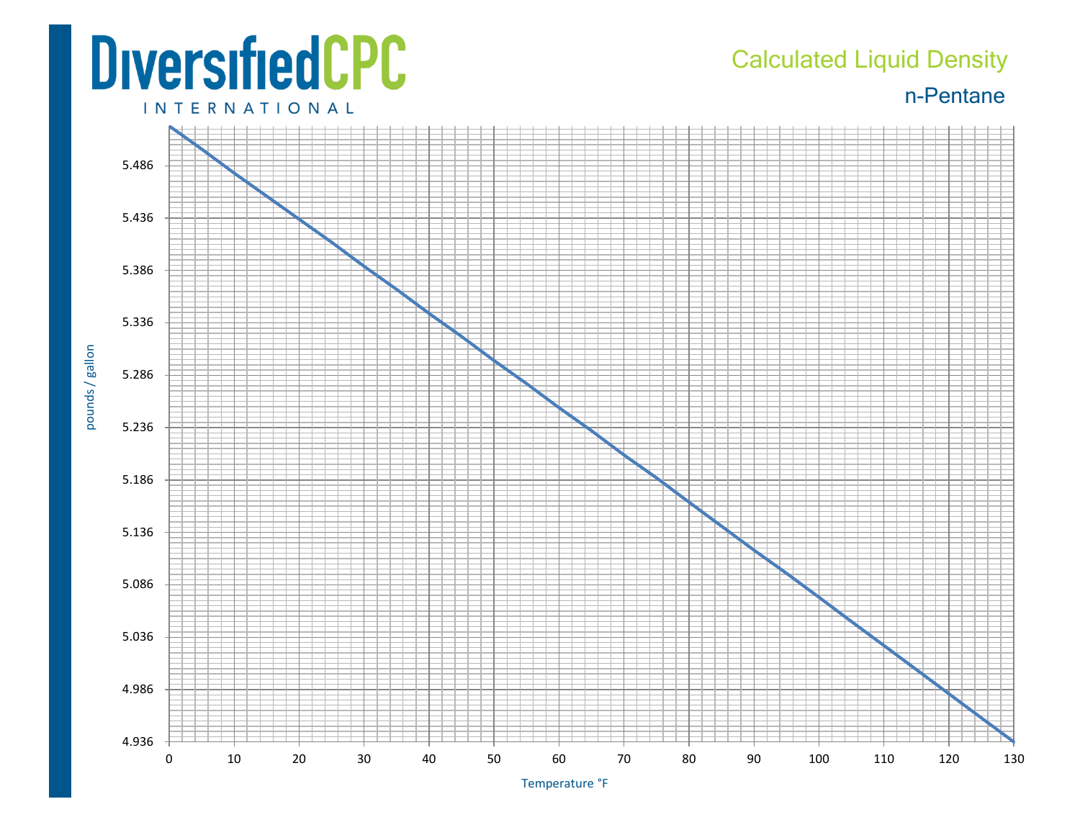## **DiversifiedCPC INTERNATIONAL**

## Calculated Liquid Density

n-Pentane



Temperature °F